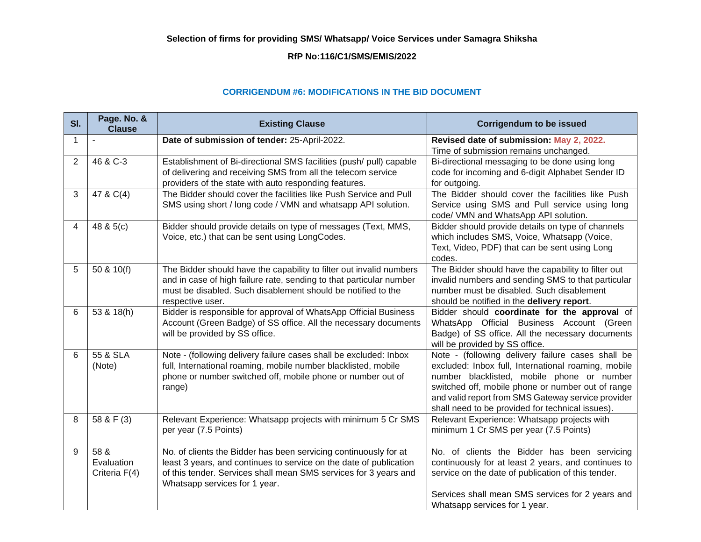## **Selection of firms for providing SMS/ Whatsapp/ Voice Services under Samagra Shiksha**

## **RfP No:116/C1/SMS/EMIS/2022**

## **CORRIGENDUM #6: MODIFICATIONS IN THE BID DOCUMENT**

| SI. | Page. No. &<br><b>Clause</b>        | <b>Existing Clause</b>                                                                                                                                                                                                                      | <b>Corrigendum to be issued</b>                                                                                                                                                                                                                                                                                       |  |  |
|-----|-------------------------------------|---------------------------------------------------------------------------------------------------------------------------------------------------------------------------------------------------------------------------------------------|-----------------------------------------------------------------------------------------------------------------------------------------------------------------------------------------------------------------------------------------------------------------------------------------------------------------------|--|--|
| 1   |                                     | Date of submission of tender: 25-April-2022.                                                                                                                                                                                                | Revised date of submission: May 2, 2022.<br>Time of submission remains unchanged.                                                                                                                                                                                                                                     |  |  |
| 2   | 46 & C-3                            | Establishment of Bi-directional SMS facilities (push/ pull) capable<br>of delivering and receiving SMS from all the telecom service<br>providers of the state with auto responding features.                                                | Bi-directional messaging to be done using long<br>code for incoming and 6-digit Alphabet Sender ID<br>for outgoing.                                                                                                                                                                                                   |  |  |
| 3   | 47 & C(4)                           | The Bidder should cover the facilities like Push Service and Pull<br>SMS using short / long code / VMN and whatsapp API solution.                                                                                                           | The Bidder should cover the facilities like Push<br>Service using SMS and Pull service using long<br>code/ VMN and WhatsApp API solution.                                                                                                                                                                             |  |  |
| 4   | 48 & 5(c)                           | Bidder should provide details on type of messages (Text, MMS,<br>Voice, etc.) that can be sent using LongCodes.                                                                                                                             | Bidder should provide details on type of channels<br>which includes SMS, Voice, Whatsapp (Voice,<br>Text, Video, PDF) that can be sent using Long<br>codes.                                                                                                                                                           |  |  |
| 5   | 50 & 10(f)                          | The Bidder should have the capability to filter out invalid numbers<br>and in case of high failure rate, sending to that particular number<br>must be disabled. Such disablement should be notified to the<br>respective user.              | The Bidder should have the capability to filter out<br>invalid numbers and sending SMS to that particular<br>number must be disabled. Such disablement<br>should be notified in the delivery report.                                                                                                                  |  |  |
| 6   | 53 & 18(h)                          | Bidder is responsible for approval of WhatsApp Official Business<br>Account (Green Badge) of SS office. All the necessary documents<br>will be provided by SS office.                                                                       | Bidder should coordinate for the approval of<br>WhatsApp Official Business Account (Green<br>Badge) of SS office. All the necessary documents<br>will be provided by SS office.                                                                                                                                       |  |  |
| 6   | 55 & SLA<br>(Note)                  | Note - (following delivery failure cases shall be excluded: Inbox<br>full, International roaming, mobile number blacklisted, mobile<br>phone or number switched off, mobile phone or number out of<br>range)                                | Note - (following delivery failure cases shall be<br>excluded: Inbox full, International roaming, mobile<br>number blacklisted, mobile phone or number<br>switched off, mobile phone or number out of range<br>and valid report from SMS Gateway service provider<br>shall need to be provided for technical issues). |  |  |
| 8   | 58 & F (3)                          | Relevant Experience: Whatsapp projects with minimum 5 Cr SMS<br>per year (7.5 Points)                                                                                                                                                       | Relevant Experience: Whatsapp projects with<br>minimum 1 Cr SMS per year (7.5 Points)                                                                                                                                                                                                                                 |  |  |
| 9   | 58 &<br>Evaluation<br>Criteria F(4) | No. of clients the Bidder has been servicing continuously for at<br>least 3 years, and continues to service on the date of publication<br>of this tender. Services shall mean SMS services for 3 years and<br>Whatsapp services for 1 year. | No. of clients the Bidder has been servicing<br>continuously for at least 2 years, and continues to<br>service on the date of publication of this tender.                                                                                                                                                             |  |  |
|     |                                     |                                                                                                                                                                                                                                             | Services shall mean SMS services for 2 years and<br>Whatsapp services for 1 year.                                                                                                                                                                                                                                     |  |  |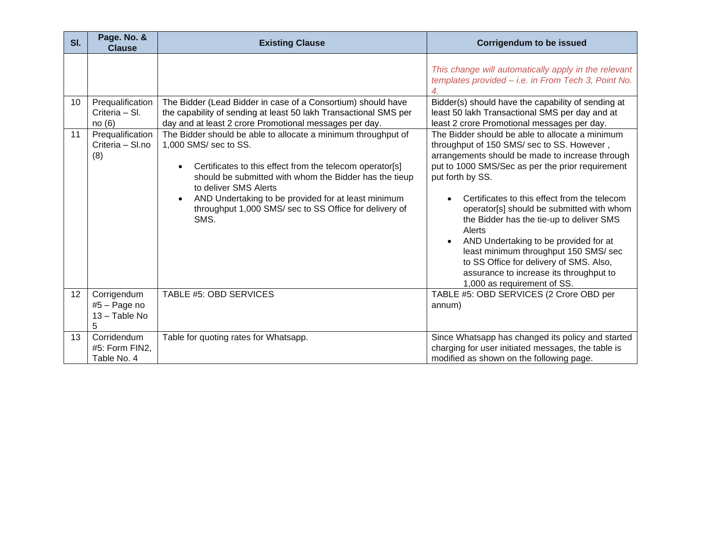| SI. | Page. No. &<br><b>Clause</b>                        | <b>Existing Clause</b>                                                                                                                                                                                                                                                                                                                                                                   | <b>Corrigendum to be issued</b>                                                                                                                                                                                                                                                                                                                                                                                                                                                                                                                                                    |
|-----|-----------------------------------------------------|------------------------------------------------------------------------------------------------------------------------------------------------------------------------------------------------------------------------------------------------------------------------------------------------------------------------------------------------------------------------------------------|------------------------------------------------------------------------------------------------------------------------------------------------------------------------------------------------------------------------------------------------------------------------------------------------------------------------------------------------------------------------------------------------------------------------------------------------------------------------------------------------------------------------------------------------------------------------------------|
|     |                                                     |                                                                                                                                                                                                                                                                                                                                                                                          | This change will automatically apply in the relevant<br>templates provided - i.e. in From Tech 3, Point No.                                                                                                                                                                                                                                                                                                                                                                                                                                                                        |
| 10  | Prequalification<br>Criteria - SI.<br>no(6)         | The Bidder (Lead Bidder in case of a Consortium) should have<br>the capability of sending at least 50 lakh Transactional SMS per<br>day and at least 2 crore Promotional messages per day.                                                                                                                                                                                               | Bidder(s) should have the capability of sending at<br>least 50 lakh Transactional SMS per day and at<br>least 2 crore Promotional messages per day.                                                                                                                                                                                                                                                                                                                                                                                                                                |
| 11  | Prequalification<br>Criteria - Sl.no<br>(8)         | The Bidder should be able to allocate a minimum throughput of<br>1,000 SMS/ sec to SS.<br>Certificates to this effect from the telecom operator[s]<br>$\bullet$<br>should be submitted with whom the Bidder has the tieup<br>to deliver SMS Alerts<br>AND Undertaking to be provided for at least minimum<br>$\bullet$<br>throughput 1,000 SMS/ sec to SS Office for delivery of<br>SMS. | The Bidder should be able to allocate a minimum<br>throughput of 150 SMS/ sec to SS. However,<br>arrangements should be made to increase through<br>put to 1000 SMS/Sec as per the prior requirement<br>put forth by SS.<br>Certificates to this effect from the telecom<br>operator[s] should be submitted with whom<br>the Bidder has the tie-up to deliver SMS<br>Alerts<br>AND Undertaking to be provided for at<br>least minimum throughput 150 SMS/ sec<br>to SS Office for delivery of SMS. Also,<br>assurance to increase its throughput to<br>1,000 as requirement of SS. |
| 12  | Corrigendum<br>$#5 - Page no$<br>13 - Table No<br>5 | TABLE #5: OBD SERVICES                                                                                                                                                                                                                                                                                                                                                                   | TABLE #5: OBD SERVICES (2 Crore OBD per<br>annum)                                                                                                                                                                                                                                                                                                                                                                                                                                                                                                                                  |
| 13  | Corridendum<br>#5: Form FIN2,<br>Table No. 4        | Table for quoting rates for Whatsapp.                                                                                                                                                                                                                                                                                                                                                    | Since Whatsapp has changed its policy and started<br>charging for user initiated messages, the table is<br>modified as shown on the following page.                                                                                                                                                                                                                                                                                                                                                                                                                                |